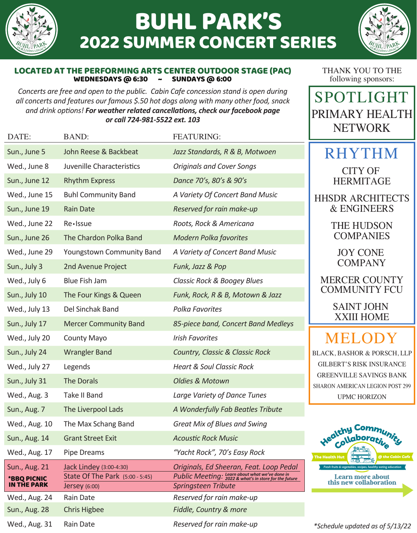

Rain Date Chris Higbee

Wed., Aug. 24 Sun., Aug. 28

Wed., Aug. 31

Rain Date

# BUHL PARK'S 2022 SUMMER CONCERT SERIES



#### LOCATED AT THE PERFORMING ARTS CENTER OUTDOOR STAGE (PAC)<br>WEDNESDAYS @ 6:30 - SUNDAYS @ 6:00 WEDNESDAYS @ 6:30  $\sim$

*Concerts are free and open to the public. Cabin Cafe concession stand is open during all concerts and features our famous \$.50 hot dogs along with many other food, snack and drink options! For weather related cancellations, check our facebook page or call 724-981-5522 ext. 103* 

THANK YOU TO THE following sponsors:

SPOTLIGHT PRIMARY HEALTH NETWORK

| DATE:                                              | <b>BAND:</b>                                                                       | <b>FEATURING:</b>                                                                                                |                                                                                                                                                     |
|----------------------------------------------------|------------------------------------------------------------------------------------|------------------------------------------------------------------------------------------------------------------|-----------------------------------------------------------------------------------------------------------------------------------------------------|
| Sun., June 5                                       | John Reese & Backbeat                                                              | Jazz Standards, R & B, Motwoen                                                                                   | <b>RHYTH</b>                                                                                                                                        |
| Wed., June 8                                       | Juvenille Characteristics                                                          | <b>Originals and Cover Songs</b>                                                                                 | <b>CITY OF</b><br><b>HERMITAG</b><br><b>HHSDR ARCHIT</b><br>& ENGINEEI                                                                              |
| Sun., June 12                                      | <b>Rhythm Express</b>                                                              | Dance 70's, 80's & 90's                                                                                          |                                                                                                                                                     |
| Wed., June 15                                      | <b>Buhl Community Band</b>                                                         | A Variety Of Concert Band Music                                                                                  |                                                                                                                                                     |
| Sun., June 19                                      | <b>Rain Date</b>                                                                   | Reserved for rain make-up                                                                                        |                                                                                                                                                     |
| Wed., June 22                                      | Re · Issue                                                                         | Roots, Rock & Americana                                                                                          | THE HUDSC<br><b>COMPANIE</b><br><b>JOY CONE</b><br><b>COMPANY</b><br><b>MERCER COU</b><br><b>COMMUNITY</b><br><b>SAINT JOHI</b><br><b>XXIII HOM</b> |
| Sun., June 26                                      | The Chardon Polka Band                                                             | <b>Modern Polka favorites</b>                                                                                    |                                                                                                                                                     |
| Wed., June 29                                      | Youngstown Community Band                                                          | A Variety of Concert Band Music                                                                                  |                                                                                                                                                     |
| Sun., July 3                                       | 2nd Avenue Project                                                                 | Funk, Jazz & Pop                                                                                                 |                                                                                                                                                     |
| Wed., July 6                                       | <b>Blue Fish Jam</b>                                                               | Classic Rock & Boogey Blues                                                                                      |                                                                                                                                                     |
| Sun., July 10                                      | The Four Kings & Queen                                                             | Funk, Rock, R & B, Motown & Jazz                                                                                 |                                                                                                                                                     |
| Wed., July 13                                      | Del Sinchak Band                                                                   | <b>Polka Favorites</b>                                                                                           |                                                                                                                                                     |
| Sun., July 17                                      | <b>Mercer Community Band</b>                                                       | 85-piece band, Concert Band Medleys                                                                              |                                                                                                                                                     |
| Wed., July 20                                      | <b>County Mayo</b>                                                                 | <b>Irish Favorites</b>                                                                                           | <b>BLACK, BASHOR &amp; POR</b><br><b>GILBERT'S RISK INSU</b><br><b>GREENVILLE SAVING</b><br>SHARON AMERICAN LEGIOI<br><b>UPMC HORIZON</b>           |
| Sun., July 24                                      | <b>Wrangler Band</b>                                                               | <b>Country, Classic &amp; Classic Rock</b>                                                                       |                                                                                                                                                     |
| Wed., July 27                                      | Legends                                                                            | <b>Heart &amp; Soul Classic Rock</b>                                                                             |                                                                                                                                                     |
| Sun., July 31                                      | The Dorals                                                                         | <b>Oldies &amp; Motown</b>                                                                                       |                                                                                                                                                     |
| Wed., Aug. 3                                       | Take II Band                                                                       | Large Variety of Dance Tunes                                                                                     |                                                                                                                                                     |
| Sun., Aug. 7                                       | The Liverpool Lads                                                                 | A Wonderfully Fab Beatles Tribute                                                                                |                                                                                                                                                     |
| Wed., Aug. 10                                      | The Max Schang Band                                                                | <b>Great Mix of Blues and Swing</b>                                                                              | Healthy Comm<br>Coll<br>The Health Hu                                                                                                               |
| Sun., Aug. 14                                      | <b>Grant Street Exit</b>                                                           | <b>Acoustic Rock Music</b>                                                                                       |                                                                                                                                                     |
| Wed., Aug. 17                                      | <b>Pipe Dreams</b>                                                                 | "Yacht Rock", 70's Easy Rock                                                                                     |                                                                                                                                                     |
| Sun., Aug. 21<br>*BBQ PICNIC<br><b>IN THE PARK</b> | Jack Lindey (3:00-4:30)<br>State Of The Park (5:00 - 5:45)<br><b>Jersey</b> (6:00) | Originals, Ed Sheeran, Feat. Loop Pedal<br>Public Meeting: Learn about what we've done in<br>Springsteen Tribute | Fresh fruits & vegetables, recipes, healthy eati<br>Learn more abouthis new collabora                                                               |

*Reserved for rain make-up Fiddle, Country & more* 

*Reserved for rain make-up*

 $\overline{\mathbf{M}}$ 

HERMITAGE

TECTS  $RS$ 

> )N<br>:S COMPANIES

NTY **FCU** 

> SAINT JOHN XXIII HOME

## MELODY

SCH, LLP RANCE **S BANK** N POST 299 UPMC HORIZON



*\*Schedule updated as of 5/13/22*